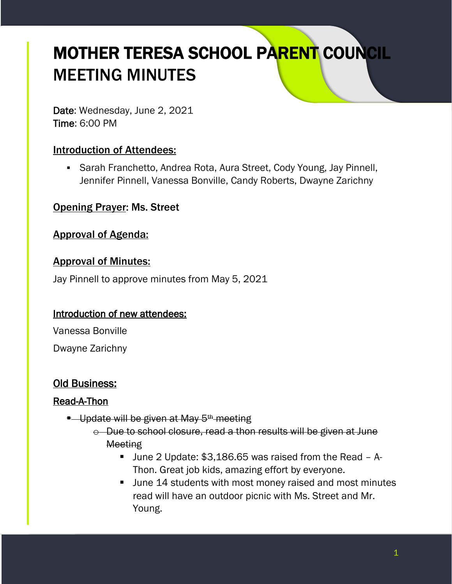# MOTHER TERESA SCHOOL PARENT COUNCIL MEETING MINUTES

Date: Wednesday, June 2, 2021 Time: 6:00 PM

## Introduction of Attendees:

■ Sarah Franchetto, Andrea Rota, Aura Street, Cody Young, Jay Pinnell, Jennifer Pinnell, Vanessa Bonville, Candy Roberts, Dwayne Zarichny

## Opening Prayer: Ms. Street

#### Approval of Agenda:

#### Approval of Minutes:

Jay Pinnell to approve minutes from May 5, 2021

#### Introduction of new attendees:

Vanessa Bonville

Dwayne Zarichny

#### Old Business:

#### Read-A-Thon

- **E** Update will be given at May 5<sup>th</sup> meeting
	- o Due to school closure, read a thon results will be given at June **Meeting** 
		- June 2 Update: \$3,186.65 was raised from the Read A-Thon. Great job kids, amazing effort by everyone.
		- June 14 students with most money raised and most minutes read will have an outdoor picnic with Ms. Street and Mr. Young.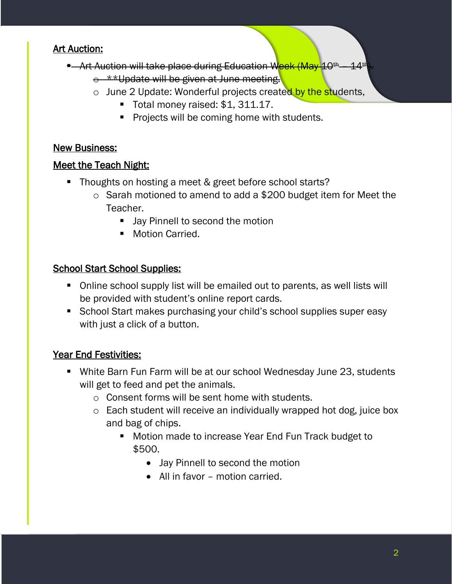## Art Auction:

- **•** Art Auction will take place during Education Week (May 10<sup>th</sup> 14<sup>th</sup>
	- $\circ$  \*\*Update will be given at June meeting.
	- o June 2 Update: Wonderful projects created by the students,
		- Total money raised: \$1, 311.17.
		- Projects will be coming home with students.

#### New Business:

#### Meet the Teach Night:

- Thoughts on hosting a meet & greet before school starts?
	- o Sarah motioned to amend to add a \$200 budget item for Meet the Teacher.
		- Jay Pinnell to second the motion
		- Motion Carried.

## School Start School Supplies:

- Online school supply list will be emailed out to parents, as well lists will be provided with student's online report cards.
- School Start makes purchasing your child's school supplies super easy with just a click of a button.

# Year End Festivities:

- White Barn Fun Farm will be at our school Wednesday June 23, students will get to feed and pet the animals.
	- o Consent forms will be sent home with students.
	- o Each student will receive an individually wrapped hot dog, juice box and bag of chips.
		- Motion made to increase Year End Fun Track budget to \$500.
			- Jay Pinnell to second the motion
			- All in favor motion carried.